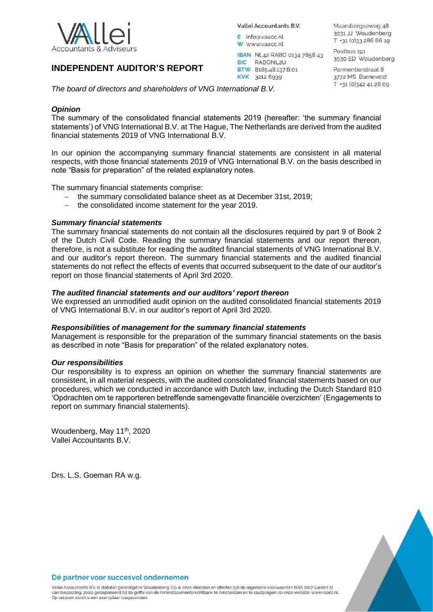

# **INDEPENDENT AUDITOR'S REPORT**

Vallei Accountants B.V.

IBAN NL42 RABO 0134 7858 43

E info@vaacc.nl W www.vaacc.nl

BIC RABONL2U BTW 8185.48.137.B.01

KVK 3212 6939

Maarsbergseweg 48 3931 JJ Woudenberg T +31 (0)33 286 66 19

Postbus 191 3930 ED Woudenberg

Parmentierstraat 8 3772 MS Barneveld T +31 (0)342 41 28 09

*The board of directors and shareholders of VNG International B.V.*

# *Opinion*

The summary of the consolidated financial statements 2019 (hereafter: 'the summary financial statements') of VNG International B.V. at The Hague, The Netherlands are derived from the audited financial statements 2019 of VNG International B.V.

In our opinion the accompanying summary financial statements are consistent in all material respects, with those financial statements 2019 of VNG International B.V. on the basis described in note "Basis for preparation" of the related explanatory notes.

The summary financial statements comprise:

- the summary consolidated balance sheet as at December 31st, 2019;
- $-$  the consolidated income statement for the year 2019.

## *Summary financial statements*

The summary financial statements do not contain all the disclosures required by part 9 of Book 2 of the Dutch Civil Code. Reading the summary financial statements and our report thereon, therefore, is not a substitute for reading the audited financial statements of VNG International B.V. and our auditor's report thereon. The summary financial statements and the audited financial statements do not reflect the effects of events that occurred subsequent to the date of our auditor's report on those financial statements of April 3rd 2020.

## *The audited financial statements and our auditors' report thereon*

We expressed an unmodified audit opinion on the audited consolidated financial statements 2019 of VNG International B.V. in our auditor's report of April 3rd 2020.

## *Responsibilities of management for the summary financial statements*

Management is responsible for the preparation of the summary financial statements on the basis as described in note "Basis for preparation" of the related explanatory notes.

## *Our responsibilities*

Our responsibility is to express an opinion on whether the summary financial statements are consistent, in all material respects, with the audited consolidated financial statements based on our procedures, which we conducted in accordance with Dutch law, including the Dutch Standard 810 'Opdrachten om te rapporteren betreffende samengevatte financiële overzichten' (Engagements to report on summary financial statements).

Woudenberg, May 11<sup>th</sup>, 2020 Vallei Accountants B.V.

Drs. L.S. Goeman RA w.g.



Vallei Accountants B.V. is statutair gevestigd te Woudenberg. Op al onze diensten en offertes zijn de algemene voorwaarden NBA 2017 (variant 2) van toepassing, zoals gedeponeerd bij de griffie van de Arrondissementsrechtbank te Amsterdam en te raadplegen op onze website: www.vaacc.nl.<br>Op verzoek wordt u een exemplaar toegezonden.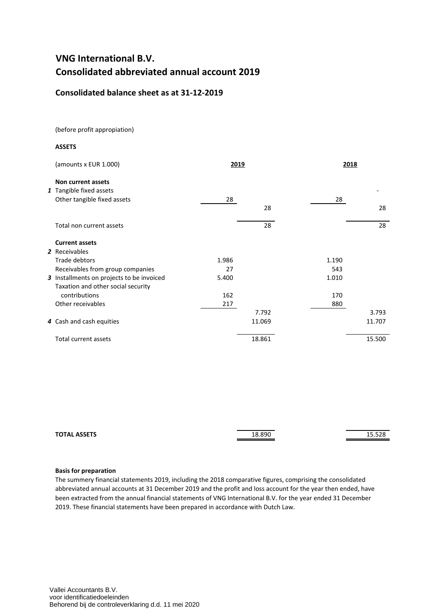# **VNG International B.V. Consolidated abbreviated annual account 2019**

# **Consolidated balance sheet as at 31-12-2019**

(before profit appropiation)

#### **ASSETS**

| (amounts x EUR 1.000)                     | 2019  |        | 2018  |        |
|-------------------------------------------|-------|--------|-------|--------|
| Non current assets                        |       |        |       |        |
| 1 Tangible fixed assets                   |       |        |       |        |
| Other tangible fixed assets               | 28    |        | 28    |        |
|                                           |       | 28     |       | 28     |
| Total non current assets                  |       | 28     |       | 28     |
| <b>Current assets</b>                     |       |        |       |        |
| 2 Receivables                             |       |        |       |        |
| Trade debtors                             | 1.986 |        | 1.190 |        |
| Receivables from group companies          | 27    |        | 543   |        |
| 3 Installments on projects to be invoiced | 5.400 |        | 1.010 |        |
| Taxation and other social security        |       |        |       |        |
| contributions                             | 162   |        | 170   |        |
| Other receivables                         | 217   |        | 880   |        |
|                                           |       | 7.792  |       | 3.793  |
| 4 Cash and cash equities                  |       | 11.069 |       | 11.707 |
| Total current assets                      |       | 18.861 |       | 15.500 |

| <b>TOTAL ASSETS</b><br>___ | 18.890 | $-20$<br>15.JZ0 |
|----------------------------|--------|-----------------|
|                            |        |                 |

#### **Basis for preparation**

The summery financial statements 2019, including the 2018 comparative figures, comprising the consolidated abbreviated annual accounts at 31 December 2019 and the profit and loss account for the year then ended, have been extracted from the annual financial statements of VNG International B.V. for the year ended 31 December 2019. These financial statements have been prepared in accordance with Dutch Law.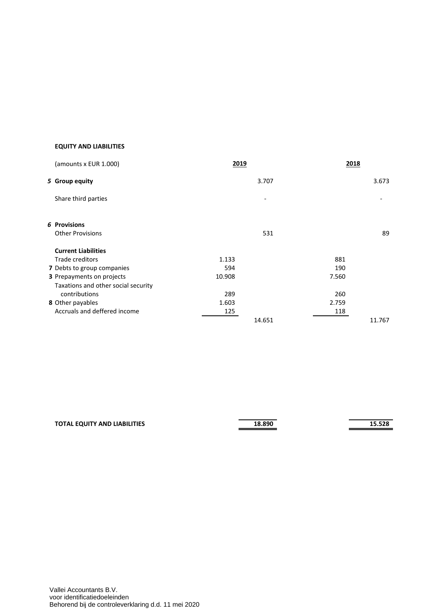# **EQUITY AND LIABILITIES**

| (amounts x EUR 1.000)               | 2019                     | 2018  |        |
|-------------------------------------|--------------------------|-------|--------|
| 5 Group equity                      | 3.707                    |       | 3.673  |
| Share third parties                 | $\overline{\phantom{a}}$ |       |        |
| 6 Provisions                        |                          |       |        |
| <b>Other Provisions</b>             | 531                      |       | 89     |
| <b>Current Liabilities</b>          |                          |       |        |
| Trade creditors                     | 1.133                    | 881   |        |
| 7 Debts to group companies          | 594                      | 190   |        |
| 3 Prepayments on projects           | 10.908                   | 7.560 |        |
| Taxations and other social security |                          |       |        |
| contributions                       | 289                      | 260   |        |
| 8 Other payables                    | 1.603                    | 2.759 |        |
| Accruals and deffered income        | 125                      | 118   |        |
|                                     | 14.651                   |       | 11.767 |

| <b>TOTAL EQUITY AND LIABILITIES</b> | 18.890 | 15.528 |
|-------------------------------------|--------|--------|
|                                     |        |        |